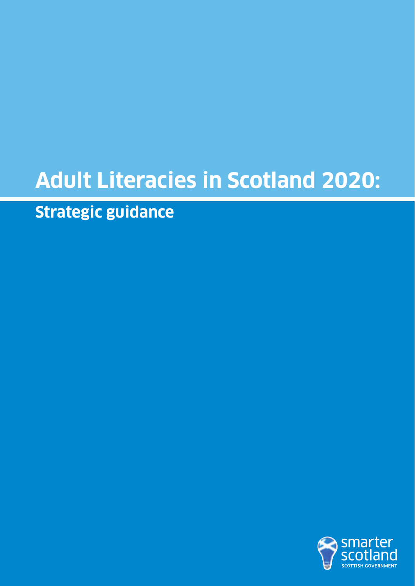# **Adult Literacies in Scotland 2020:**

**Strategic guidance**

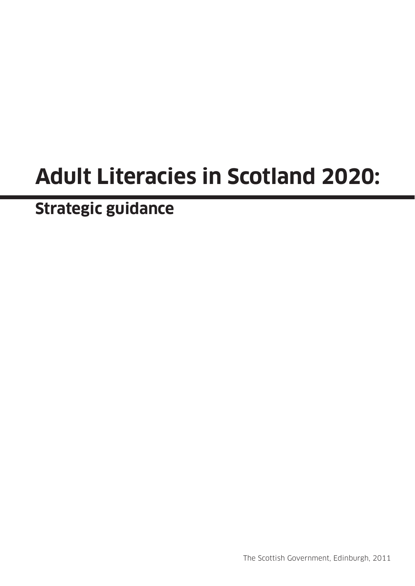# **Adult Literacies in Scotland 2020:**

**Strategic guidance**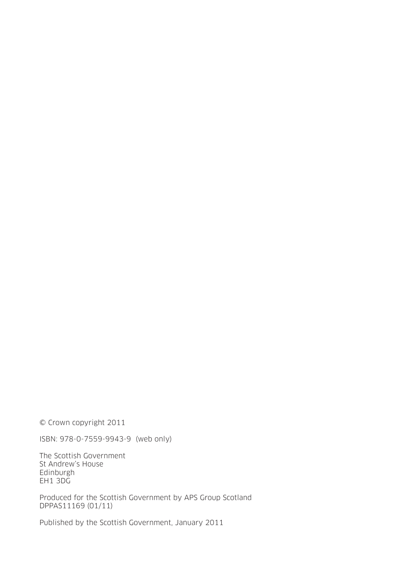© Crown copyright 2011

ISBN: 978-0-7559-9943-9 (web only)

The Scottish Government St Andrew's House **Edinburgh** EH1 3DG

Produced for the Scottish Government by APS Group Scotland DPPAS11169 (01/11)

Published by the Scottish Government, January 2011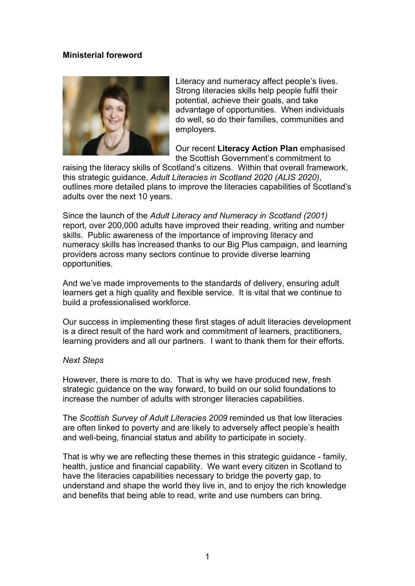## **Ministerial foreword**



Literacy and numeracy affect people's lives. Strong literacies skills help people fulfil their potential, achieve their goals, and take advantage of opportunities. When individuals do well, so do their families, communities and employers.

Our recent **Literacy Action Plan** emphasised the Scottish Government's commitment to

raising the literacy skills of Scotland's citizens. Within that overall framework, this strategic guidance, *Adult Literacies in Scotland 2020 (ALIS 2020)*, outlines more detailed plans to improve the literacies capabilities of Scotland's adults over the next 10 years.

Since the launch of the *Adult Literacy and Numeracy in Scotland (2001)* report, over 200,000 adults have improved their reading, writing and number skills. Public awareness of the importance of improving literacy and numeracy skills has increased thanks to our Big Plus campaign, and learning providers across many sectors continue to provide diverse learning opportunities.

And we've made improvements to the standards of delivery, ensuring adult learners get a high quality and flexible service. It is vital that we continue to build a professionalised workforce.

Our success in implementing these first stages of adult literacies development is a direct result of the hard work and commitment of learners, practitioners, learning providers and all our partners. I want to thank them for their efforts.

#### *Next Steps*

However, there is more to do. That is why we have produced new, fresh strategic guidance on the way forward, to build on our solid foundations to increase the number of adults with stronger literacies capabilities.

The *Scottish Survey of Adult Literacies 2009* reminded us that low literacies are often linked to poverty and are likely to adversely affect people's health and well-being, financial status and ability to participate in society.

That is why we are reflecting these themes in this strategic guidance - family, health, justice and financial capability. We want every citizen in Scotland to have the literacies capabilities necessary to bridge the poverty gap, to understand and shape the world they live in, and to enjoy the rich knowledge and benefits that being able to read, write and use numbers can bring.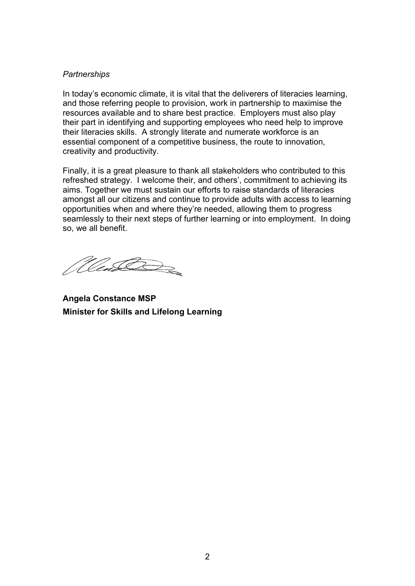#### *Partnerships*

In today's economic climate, it is vital that the deliverers of literacies learning, and those referring people to provision, work in partnership to maximise the resources available and to share best practice. Employers must also play their part in identifying and supporting employees who need help to improve their literacies skills. A strongly literate and numerate workforce is an essential component of a competitive business, the route to innovation, creativity and productivity.

Finally, it is a great pleasure to thank all stakeholders who contributed to this refreshed strategy. I welcome their, and others', commitment to achieving its aims. Together we must sustain our efforts to raise standards of literacies amongst all our citizens and continue to provide adults with access to learning opportunities when and where they're needed, allowing them to progress seamlessly to their next steps of further learning or into employment. In doing so, we all benefit.

*Menti Der* 

**Angela Constance MSP Minister for Skills and Lifelong Learning**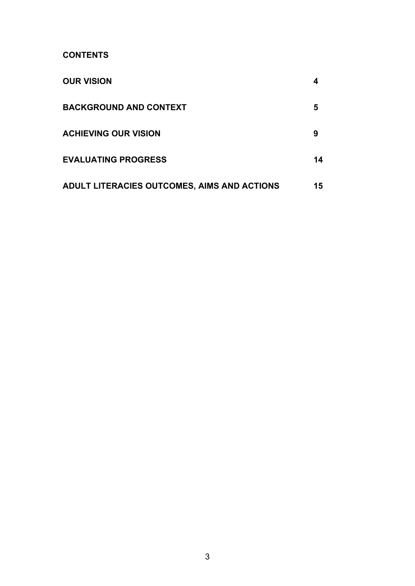**CONTENTS** 

| <b>OUR VISION</b>                           |    |
|---------------------------------------------|----|
| <b>BACKGROUND AND CONTEXT</b>               | 5  |
| <b>ACHIEVING OUR VISION</b>                 | 9  |
| <b>EVALUATING PROGRESS</b>                  | 14 |
| ADULT LITERACIES OUTCOMES, AIMS AND ACTIONS | 15 |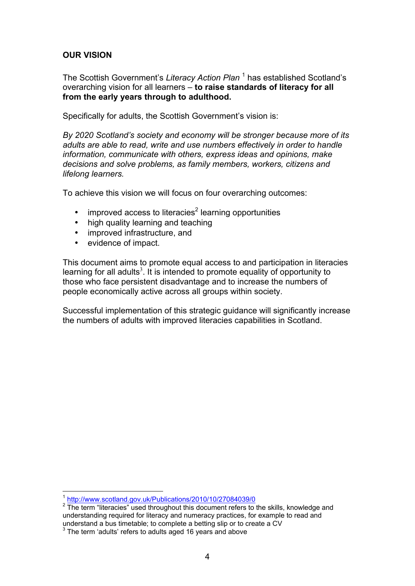# **OUR VISION**

The Scottish Government's *Literacy Action Plan* <sup>1</sup> has established Scotland's overarching vision for all learners – **to raise standards of literacy for all from the early years through to adulthood.** 

Specifically for adults, the Scottish Government's vision is:

*By 2020 Scotland's society and economy will be stronger because more of its adults are able to read, write and use numbers effectively in order to handle information, communicate with others, express ideas and opinions, make decisions and solve problems, as family members, workers, citizens and lifelong learners.*

To achieve this vision we will focus on four overarching outcomes:

- $\cdot$  improved access to literacies<sup>2</sup> learning opportunities
- high quality learning and teaching
- improved infrastructure, and
- evidence of impact.

This document aims to promote equal access to and participation in literacies learning for all adults<sup>3</sup>. It is intended to promote equality of opportunity to those who face persistent disadvantage and to increase the numbers of people economically active across all groups within society.

Successful implementation of this strategic guidance will significantly increase the numbers of adults with improved literacies capabilities in Scotland.

<sup>1</sup> <sup>1</sup> http://www.scotland.gov.uk/Publications/2010/10/27084039/0

 $2$  The term "literacies" used throughout this document refers to the skills, knowledge and understanding required for literacy and numeracy practices, for example to read and understand a bus timetable; to complete a betting slip or to create a CV

<sup>&</sup>lt;sup>3</sup> The term 'adults' refers to adults aged 16 years and above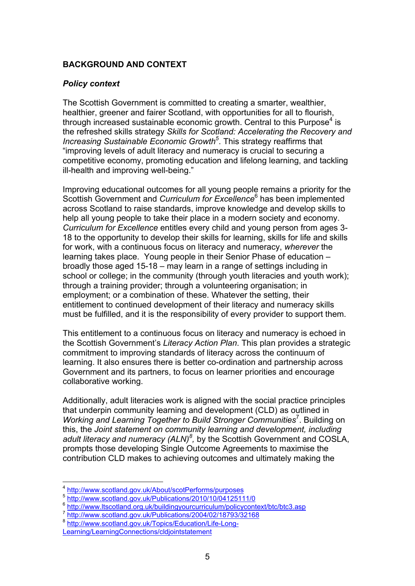# **BACKGROUND AND CONTEXT**

# *Policy context*

The Scottish Government is committed to creating a smarter, wealthier, healthier, greener and fairer Scotland, with opportunities for all to flourish, through increased sustainable economic growth. Central to this Purpose<sup>4</sup> is the refreshed skills strategy *Skills for Scotland: Accelerating the Recovery and*  Increasing Sustainable Economic Growth<sup>5</sup>. This strategy reaffirms that "improving levels of adult literacy and numeracy is crucial to securing a competitive economy, promoting education and lifelong learning, and tackling ill-health and improving well-being."

Improving educational outcomes for all young people remains a priority for the Scottish Government and *Curriculum for Excellence*<sup>6</sup> has been implemented across Scotland to raise standards, improve knowledge and develop skills to help all young people to take their place in a modern society and economy. *Curriculum for Excellence* entitles every child and young person from ages 3- 18 to the opportunity to develop their skills for learning, skills for life and skills for work, with a continuous focus on literacy and numeracy, *wherever* the learning takes place. Young people in their Senior Phase of education – broadly those aged 15-18 – may learn in a range of settings including in school or college; in the community (through youth literacies and youth work); through a training provider; through a volunteering organisation; in employment; or a combination of these. Whatever the setting, their entitlement to continued development of their literacy and numeracy skills must be fulfilled, and it is the responsibility of every provider to support them.

This entitlement to a continuous focus on literacy and numeracy is echoed in the Scottish Government's *Literacy Action Plan*. This plan provides a strategic commitment to improving standards of literacy across the continuum of learning. It also ensures there is better co-ordination and partnership across Government and its partners, to focus on learner priorities and encourage collaborative working.

Additionally, adult literacies work is aligned with the social practice principles that underpin community learning and development (CLD) as outlined in Working and Learning Together to Build Stronger Communities<sup>7</sup>. Building on this, the *Joint statement on community learning and development, including*  adult literacy and numeracy (ALN)<sup>8</sup>, by the Scottish Government and COSLA, prompts those developing Single Outcome Agreements to maximise the contribution CLD makes to achieving outcomes and ultimately making the

<sup>8</sup> http://www.scotland.gov.uk/Topics/Education/Life-Long-

http://www.scotland.gov.uk/About/scotPerforms/purposes

<sup>5</sup> http://www.scotland.gov.uk/Publications/2010/10/04125111/0

<sup>6</sup> http://www.ltscotland.org.uk/buildingyourcurriculum/policycontext/btc/btc3.asp

http://www.scotland.gov.uk/Publications/2004/02/18793/32168

Learning/LearningConnections/cldjointstatement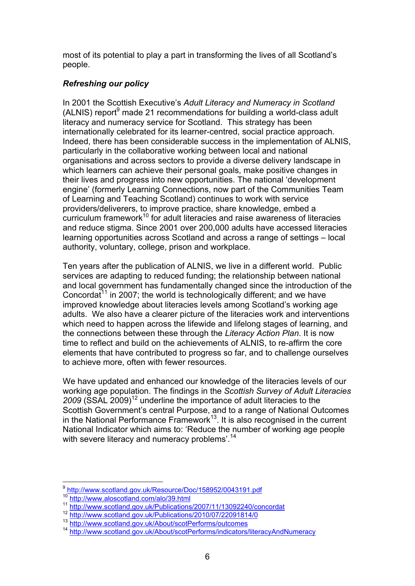most of its potential to play a part in transforming the lives of all Scotland's people.

# *Refreshing our policy*

In 2001 the Scottish Executive's *Adult Literacy and Numeracy in Scotland*  (ALNIS) report<sup>9</sup> made 21 recommendations for building a world-class adult literacy and numeracy service for Scotland. This strategy has been internationally celebrated for its learner-centred, social practice approach. Indeed, there has been considerable success in the implementation of ALNIS, particularly in the collaborative working between local and national organisations and across sectors to provide a diverse delivery landscape in which learners can achieve their personal goals, make positive changes in their lives and progress into new opportunities. The national 'development engine' (formerly Learning Connections, now part of the Communities Team of Learning and Teaching Scotland) continues to work with service providers/deliverers, to improve practice, share knowledge, embed a curriculum framework<sup>10</sup> for adult literacies and raise awareness of literacies and reduce stigma. Since 2001 over 200,000 adults have accessed literacies learning opportunities across Scotland and across a range of settings – local authority, voluntary, college, prison and workplace.

Ten years after the publication of ALNIS, we live in a different world. Public services are adapting to reduced funding; the relationship between national and local government has fundamentally changed since the introduction of the Concordat<sup>11</sup> in 2007; the world is technologically different; and we have improved knowledge about literacies levels among Scotland's working age adults. We also have a clearer picture of the literacies work and interventions which need to happen across the lifewide and lifelong stages of learning, and the connections between these through the *Literacy Action Plan*. It is now time to reflect and build on the achievements of ALNIS, to re-affirm the core elements that have contributed to progress so far, and to challenge ourselves to achieve more, often with fewer resources.

We have updated and enhanced our knowledge of the literacies levels of our working age population. The findings in the *Scottish Survey of Adult Literacies*  2009 (SSAL 2009)<sup>12</sup> underline the importance of adult literacies to the Scottish Government's central Purpose, and to a range of National Outcomes in the National Performance Framework<sup>13</sup>. It is also recognised in the current National Indicator which aims to: 'Reduce the number of working age people with severe literacy and numeracy problems<sup>'.14</sup>

<sup>9</sup> http://www.scotland.gov.uk/Resource/Doc/158952/0043191.pdf

<sup>10</sup> http://www.aloscotland.com/alo/39.html

<sup>11</sup> http://www.scotland.gov.uk/Publications/2007/11/13092240/concordat

<sup>12</sup> http://www.scotland.gov.uk/Publications/2010/07/22091814/0<br>13 http://www.scotland.gov.uk/About/scotPerforms/outcomes

<sup>14</sup> http://www.scotland.gov.uk/About/scotPerforms/indicators/literacyAndNumeracy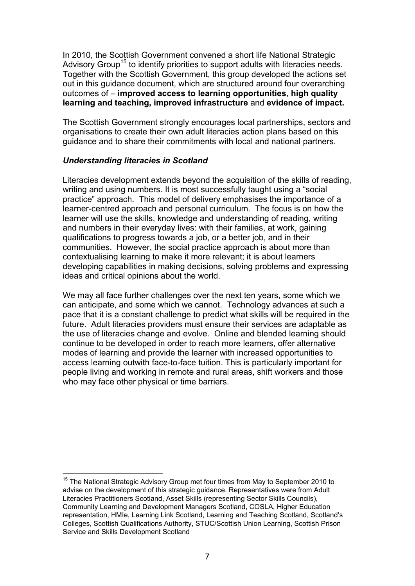In 2010, the Scottish Government convened a short life National Strategic Advisory Group<sup>15</sup> to identify priorities to support adults with literacies needs. Together with the Scottish Government, this group developed the actions set out in this guidance document, which are structured around four overarching outcomes of – **improved access to learning opportunities**, **high quality learning and teaching, improved infrastructure** and **evidence of impact.**

The Scottish Government strongly encourages local partnerships, sectors and organisations to create their own adult literacies action plans based on this guidance and to share their commitments with local and national partners.

# *Understanding literacies in Scotland*

1

Literacies development extends beyond the acquisition of the skills of reading, writing and using numbers. It is most successfully taught using a "social practice" approach. This model of delivery emphasises the importance of a learner-centred approach and personal curriculum. The focus is on how the learner will use the skills, knowledge and understanding of reading, writing and numbers in their everyday lives: with their families, at work, gaining qualifications to progress towards a job, or a better job, and in their communities. However, the social practice approach is about more than contextualising learning to make it more relevant; it is about learners developing capabilities in making decisions, solving problems and expressing ideas and critical opinions about the world.

We may all face further challenges over the next ten years, some which we can anticipate, and some which we cannot. Technology advances at such a pace that it is a constant challenge to predict what skills will be required in the future. Adult literacies providers must ensure their services are adaptable as the use of literacies change and evolve. Online and blended learning should continue to be developed in order to reach more learners, offer alternative modes of learning and provide the learner with increased opportunities to access learning outwith face-to-face tuition. This is particularly important for people living and working in remote and rural areas, shift workers and those who may face other physical or time barriers.

<sup>&</sup>lt;sup>15</sup> The National Strategic Advisory Group met four times from May to September 2010 to advise on the development of this strategic guidance. Representatives were from Adult Literacies Practitioners Scotland, Asset Skills (representing Sector Skills Councils), Community Learning and Development Managers Scotland, COSLA, Higher Education representation, HMIe, Learning Link Scotland, Learning and Teaching Scotland, Scotland's Colleges, Scottish Qualifications Authority, STUC/Scottish Union Learning, Scottish Prison Service and Skills Development Scotland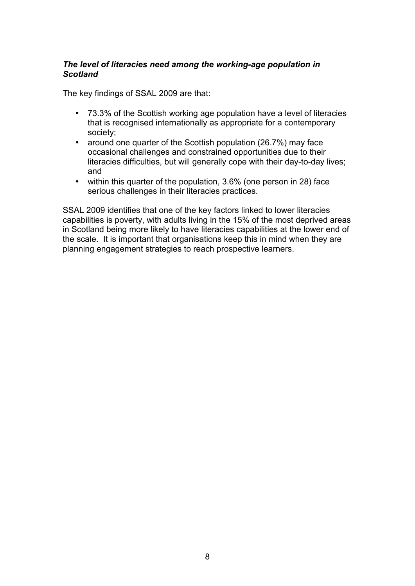# *The level of literacies need among the working-age population in Scotland*

The key findings of SSAL 2009 are that:

- 73.3% of the Scottish working age population have a level of literacies that is recognised internationally as appropriate for a contemporary society;
- around one quarter of the Scottish population (26.7%) may face occasional challenges and constrained opportunities due to their literacies difficulties, but will generally cope with their day-to-day lives; and
- within this quarter of the population, 3.6% (one person in 28) face serious challenges in their literacies practices.

SSAL 2009 identifies that one of the key factors linked to lower literacies capabilities is poverty, with adults living in the 15% of the most deprived areas in Scotland being more likely to have literacies capabilities at the lower end of the scale. It is important that organisations keep this in mind when they are planning engagement strategies to reach prospective learners.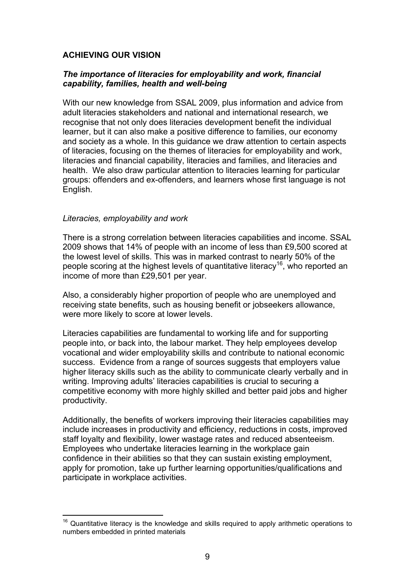# **ACHIEVING OUR VISION**

# *The importance of literacies for employability and work, financial capability, families, health and well-being*

With our new knowledge from SSAL 2009, plus information and advice from adult literacies stakeholders and national and international research, we recognise that not only does literacies development benefit the individual learner, but it can also make a positive difference to families, our economy and society as a whole. In this guidance we draw attention to certain aspects of literacies, focusing on the themes of literacies for employability and work, literacies and financial capability, literacies and families, and literacies and health. We also draw particular attention to literacies learning for particular groups: offenders and ex-offenders, and learners whose first language is not English.

#### *Literacies, employability and work*

1

There is a strong correlation between literacies capabilities and income. SSAL 2009 shows that 14% of people with an income of less than £9,500 scored at the lowest level of skills. This was in marked contrast to nearly 50% of the people scoring at the highest levels of quantitative literacy<sup>16</sup>, who reported an income of more than £29,501 per year.

Also, a considerably higher proportion of people who are unemployed and receiving state benefits, such as housing benefit or jobseekers allowance, were more likely to score at lower levels.

Literacies capabilities are fundamental to working life and for supporting people into, or back into, the labour market. They help employees develop vocational and wider employability skills and contribute to national economic success. Evidence from a range of sources suggests that employers value higher literacy skills such as the ability to communicate clearly verbally and in writing. Improving adults' literacies capabilities is crucial to securing a competitive economy with more highly skilled and better paid jobs and higher productivity.

Additionally, the benefits of workers improving their literacies capabilities may include increases in productivity and efficiency, reductions in costs, improved staff loyalty and flexibility, lower wastage rates and reduced absenteeism. Employees who undertake literacies learning in the workplace gain confidence in their abilities so that they can sustain existing employment, apply for promotion, take up further learning opportunities/qualifications and participate in workplace activities.

 $16$  Quantitative literacy is the knowledge and skills required to apply arithmetic operations to numbers embedded in printed materials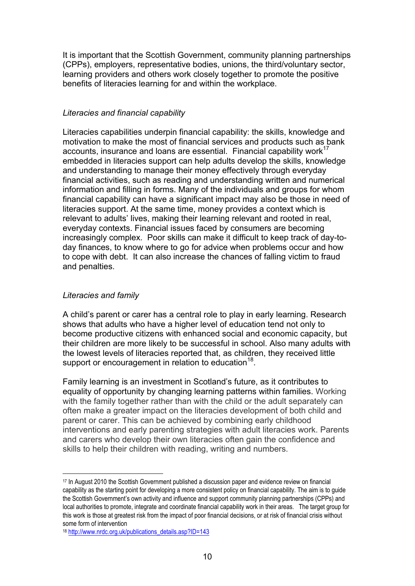It is important that the Scottish Government, community planning partnerships (CPPs), employers, representative bodies, unions, the third/voluntary sector, learning providers and others work closely together to promote the positive benefits of literacies learning for and within the workplace.

#### *Literacies and financial capability*

Literacies capabilities underpin financial capability: the skills, knowledge and motivation to make the most of financial services and products such as bank accounts, insurance and loans are essential. Financial capability work<sup>17</sup> embedded in literacies support can help adults develop the skills, knowledge and understanding to manage their money effectively through everyday financial activities, such as reading and understanding written and numerical information and filling in forms. Many of the individuals and groups for whom financial capability can have a significant impact may also be those in need of literacies support. At the same time, money provides a context which is relevant to adults' lives, making their learning relevant and rooted in real, everyday contexts. Financial issues faced by consumers are becoming increasingly complex. Poor skills can make it difficult to keep track of day-today finances, to know where to go for advice when problems occur and how to cope with debt. It can also increase the chances of falling victim to fraud and penalties.

# *Literacies and family*

1

A child's parent or carer has a central role to play in early learning. Research shows that adults who have a higher level of education tend not only to become productive citizens with enhanced social and economic capacity, but their children are more likely to be successful in school. Also many adults with the lowest levels of literacies reported that, as children, they received little support or encouragement in relation to education<sup>18</sup>.

Family learning is an investment in Scotland's future, as it contributes to equality of opportunity by changing learning patterns within families. Working with the family together rather than with the child or the adult separately can often make a greater impact on the literacies development of both child and parent or carer. This can be achieved by combining early childhood interventions and early parenting strategies with adult literacies work. Parents and carers who develop their own literacies often gain the confidence and skills to help their children with reading, writing and numbers.

<sup>17</sup> In August 2010 the Scottish Government published a discussion paper and evidence review on financial capability as the starting point for developing a more consistent policy on financial capability. The aim is to guide the Scottish Government's own activity and influence and support community planning partnerships (CPPs) and local authorities to promote, integrate and coordinate financial capability work in their areas. The target group for this work is those at greatest risk from the impact of poor financial decisions, or at risk of financial crisis without some form of intervention

<sup>18</sup> http://www.nrdc.org.uk/publications\_details.asp?ID=143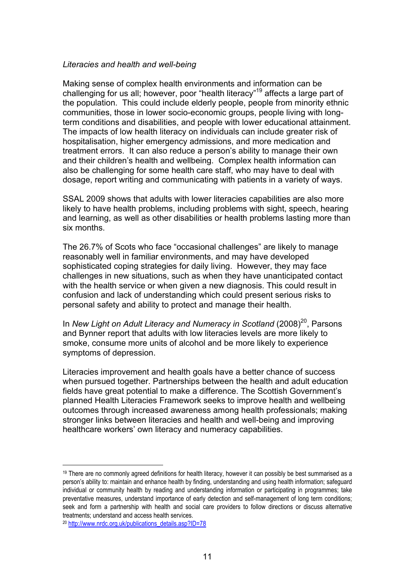#### *Literacies and health and well-being*

Making sense of complex health environments and information can be challenging for us all; however, poor "health literacy"19 affects a large part of the population. This could include elderly people, people from minority ethnic communities, those in lower socio-economic groups, people living with longterm conditions and disabilities, and people with lower educational attainment. The impacts of low health literacy on individuals can include greater risk of hospitalisation, higher emergency admissions, and more medication and treatment errors. It can also reduce a person's ability to manage their own and their children's health and wellbeing. Complex health information can also be challenging for some health care staff, who may have to deal with dosage, report writing and communicating with patients in a variety of ways.

SSAL 2009 shows that adults with lower literacies capabilities are also more likely to have health problems, including problems with sight, speech, hearing and learning, as well as other disabilities or health problems lasting more than six months.

The 26.7% of Scots who face "occasional challenges" are likely to manage reasonably well in familiar environments, and may have developed sophisticated coping strategies for daily living. However, they may face challenges in new situations, such as when they have unanticipated contact with the health service or when given a new diagnosis. This could result in confusion and lack of understanding which could present serious risks to personal safety and ability to protect and manage their health.

In *New Light on Adult Literacy and Numeracy in Scotland* (2008)<sup>20</sup>, Parsons and Bynner report that adults with low literacies levels are more likely to smoke, consume more units of alcohol and be more likely to experience symptoms of depression.

Literacies improvement and health goals have a better chance of success when pursued together. Partnerships between the health and adult education fields have great potential to make a difference. The Scottish Government's planned Health Literacies Framework seeks to improve health and wellbeing outcomes through increased awareness among health professionals; making stronger links between literacies and health and well-being and improving healthcare workers' own literacy and numeracy capabilities.

<sup>&</sup>lt;sup>19</sup> There are no commonly agreed definitions for health literacy, however it can possibly be best summarised as a person's ability to: maintain and enhance health by finding, understanding and using health information; safeguard individual or community health by reading and understanding information or participating in programmes; take preventative measures, understand importance of early detection and self-management of long term conditions; seek and form a partnership with health and social care providers to follow directions or discuss alternative treatments; understand and access health services.

<sup>20</sup> http://www.nrdc.org.uk/publications\_details.asp?ID=78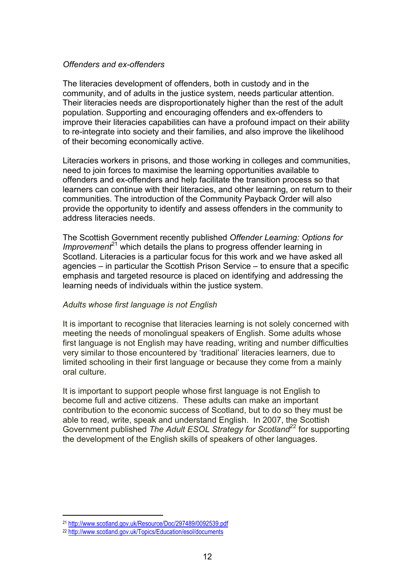#### *Offenders and ex-offenders*

The literacies development of offenders, both in custody and in the community, and of adults in the justice system, needs particular attention. Their literacies needs are disproportionately higher than the rest of the adult population. Supporting and encouraging offenders and ex-offenders to improve their literacies capabilities can have a profound impact on their ability to re-integrate into society and their families, and also improve the likelihood of their becoming economically active.

Literacies workers in prisons, and those working in colleges and communities, need to join forces to maximise the learning opportunities available to offenders and ex-offenders and help facilitate the transition process so that learners can continue with their literacies, and other learning, on return to their communities. The introduction of the Community Payback Order will also provide the opportunity to identify and assess offenders in the community to address literacies needs.

The Scottish Government recently published *Offender Learning: Options for Improvement*<sup>21</sup> which details the plans to progress offender learning in Scotland. Literacies is a particular focus for this work and we have asked all agencies – in particular the Scottish Prison Service – to ensure that a specific emphasis and targeted resource is placed on identifying and addressing the learning needs of individuals within the justice system.

#### *Adults whose first language is not English*

It is important to recognise that literacies learning is not solely concerned with meeting the needs of monolingual speakers of English. Some adults whose first language is not English may have reading, writing and number difficulties very similar to those encountered by 'traditional' literacies learners, due to limited schooling in their first language or because they come from a mainly oral culture.

It is important to support people whose first language is not English to become full and active citizens. These adults can make an important contribution to the economic success of Scotland, but to do so they must be able to read, write, speak and understand English. In 2007, the Scottish Government published *The Adult ESOL Strategy for Scotland*<sup>22</sup> for supporting the development of the English skills of speakers of other languages.

<sup>21</sup> http://www.scotland.gov.uk/Resource/Doc/297489/0092539.pdf

<sup>22</sup> http://www.scotland.gov.uk/Topics/Education/esol/documents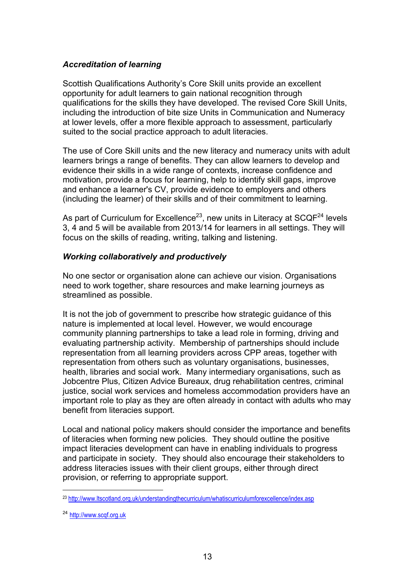# *Accreditation of learning*

Scottish Qualifications Authority's Core Skill units provide an excellent opportunity for adult learners to gain national recognition through qualifications for the skills they have developed. The revised Core Skill Units, including the introduction of bite size Units in Communication and Numeracy at lower levels, offer a more flexible approach to assessment, particularly suited to the social practice approach to adult literacies.

The use of Core Skill units and the new literacy and numeracy units with adult learners brings a range of benefits. They can allow learners to develop and evidence their skills in a wide range of contexts, increase confidence and motivation, provide a focus for learning, help to identify skill gaps, improve and enhance a learner's CV, provide evidence to employers and others (including the learner) of their skills and of their commitment to learning.

As part of Curriculum for Excellence<sup>23</sup>, new units in Literacy at  $SCQF<sup>24</sup>$  levels 3, 4 and 5 will be available from 2013/14 for learners in all settings. They will focus on the skills of reading, writing, talking and listening.

# *Working collaboratively and productively*

No one sector or organisation alone can achieve our vision. Organisations need to work together, share resources and make learning journeys as streamlined as possible.

It is not the job of government to prescribe how strategic guidance of this nature is implemented at local level. However, we would encourage community planning partnerships to take a lead role in forming, driving and evaluating partnership activity. Membership of partnerships should include representation from all learning providers across CPP areas, together with representation from others such as voluntary organisations, businesses, health, libraries and social work. Many intermediary organisations, such as Jobcentre Plus, Citizen Advice Bureaux, drug rehabilitation centres, criminal justice, social work services and homeless accommodation providers have an important role to play as they are often already in contact with adults who may benefit from literacies support.

Local and national policy makers should consider the importance and benefits of literacies when forming new policies. They should outline the positive impact literacies development can have in enabling individuals to progress and participate in society. They should also encourage their stakeholders to address literacies issues with their client groups, either through direct provision, or referring to appropriate support.

<sup>23</sup> http://www.ltscotland.org.uk/understandingthecurriculum/whatiscurriculumforexcellence/index.asp

<sup>24</sup> http://www.scqf.org.uk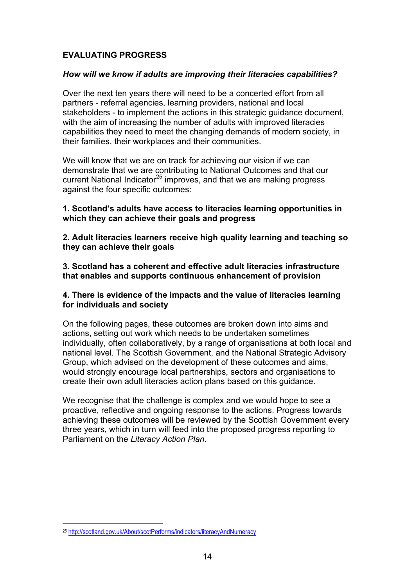# **EVALUATING PROGRESS**

#### *How will we know if adults are improving their literacies capabilities?*

Over the next ten years there will need to be a concerted effort from all partners - referral agencies, learning providers, national and local stakeholders - to implement the actions in this strategic guidance document, with the aim of increasing the number of adults with improved literacies capabilities they need to meet the changing demands of modern society, in their families, their workplaces and their communities.

We will know that we are on track for achieving our vision if we can demonstrate that we are contributing to National Outcomes and that our current National Indicator<sup>25</sup> improves, and that we are making progress against the four specific outcomes:

## **1. Scotland's adults have access to literacies learning opportunities in which they can achieve their goals and progress**

**2. Adult literacies learners receive high quality learning and teaching so they can achieve their goals** 

**3. Scotland has a coherent and effective adult literacies infrastructure that enables and supports continuous enhancement of provision** 

# **4. There is evidence of the impacts and the value of literacies learning for individuals and society**

On the following pages, these outcomes are broken down into aims and actions, setting out work which needs to be undertaken sometimes individually, often collaboratively, by a range of organisations at both local and national level. The Scottish Government, and the National Strategic Advisory Group, which advised on the development of these outcomes and aims, would strongly encourage local partnerships, sectors and organisations to create their own adult literacies action plans based on this guidance.

We recognise that the challenge is complex and we would hope to see a proactive, reflective and ongoing response to the actions. Progress towards achieving these outcomes will be reviewed by the Scottish Government every three years, which in turn will feed into the proposed progress reporting to Parliament on the *Literacy Action Plan*.

<sup>25</sup> http://scotland.gov.uk/About/scotPerforms/indicators/literacyAndNumeracy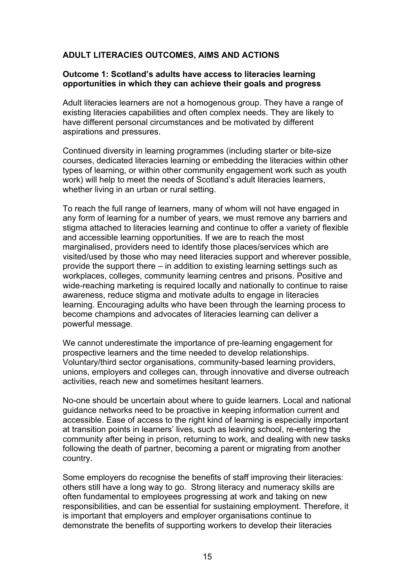# **ADULT LITERACIES OUTCOMES, AIMS AND ACTIONS**

## **Outcome 1: Scotland's adults have access to literacies learning opportunities in which they can achieve their goals and progress**

Adult literacies learners are not a homogenous group. They have a range of existing literacies capabilities and often complex needs. They are likely to have different personal circumstances and be motivated by different aspirations and pressures.

Continued diversity in learning programmes (including starter or bite-size courses, dedicated literacies learning or embedding the literacies within other types of learning, or within other community engagement work such as youth work) will help to meet the needs of Scotland's adult literacies learners, whether living in an urban or rural setting.

To reach the full range of learners, many of whom will not have engaged in any form of learning for a number of years, we must remove any barriers and stigma attached to literacies learning and continue to offer a variety of flexible and accessible learning opportunities. If we are to reach the most marginalised, providers need to identify those places/services which are visited/used by those who may need literacies support and wherever possible, provide the support there – in addition to existing learning settings such as workplaces, colleges, community learning centres and prisons. Positive and wide-reaching marketing is required locally and nationally to continue to raise awareness, reduce stigma and motivate adults to engage in literacies learning. Encouraging adults who have been through the learning process to become champions and advocates of literacies learning can deliver a powerful message.

We cannot underestimate the importance of pre-learning engagement for prospective learners and the time needed to develop relationships. Voluntary/third sector organisations, community-based learning providers, unions, employers and colleges can, through innovative and diverse outreach activities, reach new and sometimes hesitant learners.

No-one should be uncertain about where to guide learners. Local and national guidance networks need to be proactive in keeping information current and accessible. Ease of access to the right kind of learning is especially important at transition points in learners' lives, such as leaving school, re-entering the community after being in prison, returning to work, and dealing with new tasks following the death of partner, becoming a parent or migrating from another country.

Some employers do recognise the benefits of staff improving their literacies: others still have a long way to go. Strong literacy and numeracy skills are often fundamental to employees progressing at work and taking on new responsibilities, and can be essential for sustaining employment. Therefore, it is important that employers and employer organisations continue to demonstrate the benefits of supporting workers to develop their literacies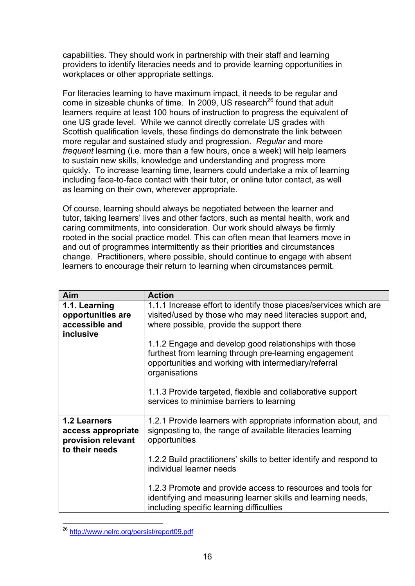capabilities. They should work in partnership with their staff and learning providers to identify literacies needs and to provide learning opportunities in workplaces or other appropriate settings.

For literacies learning to have maximum impact, it needs to be regular and come in sizeable chunks of time. In 2009, US research<sup>26</sup> found that adult learners require at least 100 hours of instruction to progress the equivalent of one US grade level. While we cannot directly correlate US grades with Scottish qualification levels, these findings do demonstrate the link between more regular and sustained study and progression. *Regular* and more *frequent* learning (i.e. more than a few hours, once a week) will help learners to sustain new skills, knowledge and understanding and progress more quickly. To increase learning time, learners could undertake a mix of learning including face-to-face contact with their tutor, or online tutor contact, as well as learning on their own, wherever appropriate.

Of course, learning should always be negotiated between the learner and tutor, taking learners' lives and other factors, such as mental health, work and caring commitments, into consideration. Our work should always be firmly rooted in the social practice model. This can often mean that learners move in and out of programmes intermittently as their priorities and circumstances change. Practitioners, where possible, should continue to engage with absent learners to encourage their return to learning when circumstances permit.

| <b>Aim</b>                                                                 | <b>Action</b>                                                                                                                                                                             |
|----------------------------------------------------------------------------|-------------------------------------------------------------------------------------------------------------------------------------------------------------------------------------------|
| 1.1. Learning<br>opportunities are<br>accessible and<br>inclusive          | 1.1.1 Increase effort to identify those places/services which are<br>visited/used by those who may need literacies support and,<br>where possible, provide the support there              |
|                                                                            | 1.1.2 Engage and develop good relationships with those<br>furthest from learning through pre-learning engagement<br>opportunities and working with intermediary/referral<br>organisations |
|                                                                            | 1.1.3 Provide targeted, flexible and collaborative support<br>services to minimise barriers to learning                                                                                   |
| 1.2 Learners<br>access appropriate<br>provision relevant<br>to their needs | 1.2.1 Provide learners with appropriate information about, and<br>signposting to, the range of available literacies learning<br>opportunities                                             |
|                                                                            | 1.2.2 Build practitioners' skills to better identify and respond to<br>individual learner needs                                                                                           |
|                                                                            | 1.2.3 Promote and provide access to resources and tools for<br>identifying and measuring learner skills and learning needs,<br>including specific learning difficulties                   |

<sup>1</sup> <sup>26</sup> http://www.nelrc.org/persist/report09.pdf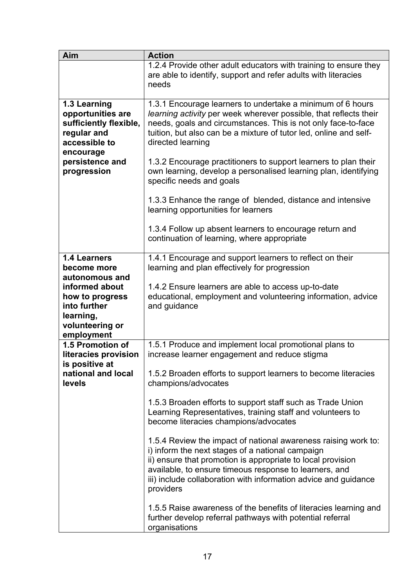| Aim                                                                                                                                                     | <b>Action</b>                                                                                                                                                                                                                                                                                                               |
|---------------------------------------------------------------------------------------------------------------------------------------------------------|-----------------------------------------------------------------------------------------------------------------------------------------------------------------------------------------------------------------------------------------------------------------------------------------------------------------------------|
|                                                                                                                                                         | 1.2.4 Provide other adult educators with training to ensure they<br>are able to identify, support and refer adults with literacies<br>needs                                                                                                                                                                                 |
| 1.3 Learning<br>opportunities are<br>sufficiently flexible,<br>regular and<br>accessible to<br>encourage                                                | 1.3.1 Encourage learners to undertake a minimum of 6 hours<br>learning activity per week wherever possible, that reflects their<br>needs, goals and circumstances. This is not only face-to-face<br>tuition, but also can be a mixture of tutor led, online and self-<br>directed learning                                  |
| persistence and<br>progression                                                                                                                          | 1.3.2 Encourage practitioners to support learners to plan their<br>own learning, develop a personalised learning plan, identifying<br>specific needs and goals                                                                                                                                                              |
|                                                                                                                                                         | 1.3.3 Enhance the range of blended, distance and intensive<br>learning opportunities for learners                                                                                                                                                                                                                           |
|                                                                                                                                                         | 1.3.4 Follow up absent learners to encourage return and<br>continuation of learning, where appropriate                                                                                                                                                                                                                      |
| <b>1.4 Learners</b><br>become more<br>autonomous and<br>informed about<br>how to progress<br>into further<br>learning,<br>volunteering or<br>employment | 1.4.1 Encourage and support learners to reflect on their<br>learning and plan effectively for progression<br>1.4.2 Ensure learners are able to access up-to-date<br>educational, employment and volunteering information, advice<br>and guidance                                                                            |
| 1.5 Promotion of<br>literacies provision<br>is positive at                                                                                              | 1.5.1 Produce and implement local promotional plans to<br>increase learner engagement and reduce stigma                                                                                                                                                                                                                     |
| national and local<br>levels                                                                                                                            | 1.5.2 Broaden efforts to support learners to become literacies<br>champions/advocates                                                                                                                                                                                                                                       |
|                                                                                                                                                         | 1.5.3 Broaden efforts to support staff such as Trade Union<br>Learning Representatives, training staff and volunteers to<br>become literacies champions/advocates                                                                                                                                                           |
|                                                                                                                                                         | 1.5.4 Review the impact of national awareness raising work to:<br>i) inform the next stages of a national campaign<br>ii) ensure that promotion is appropriate to local provision<br>available, to ensure timeous response to learners, and<br>iii) include collaboration with information advice and guidance<br>providers |
|                                                                                                                                                         | 1.5.5 Raise awareness of the benefits of literacies learning and<br>further develop referral pathways with potential referral<br>organisations                                                                                                                                                                              |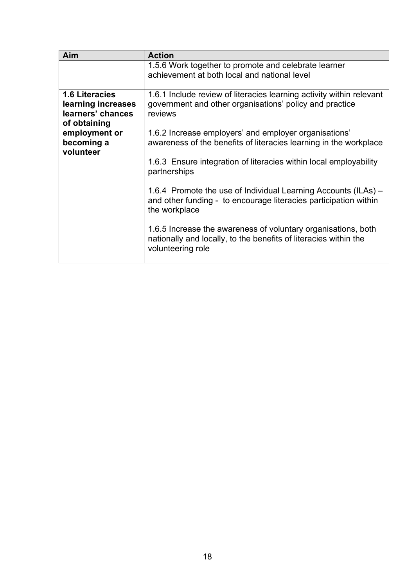| Aim                                                                              | <b>Action</b>                                                                                                                                          |
|----------------------------------------------------------------------------------|--------------------------------------------------------------------------------------------------------------------------------------------------------|
|                                                                                  | 1.5.6 Work together to promote and celebrate learner<br>achievement at both local and national level                                                   |
| <b>1.6 Literacies</b><br>learning increases<br>learners' chances<br>of obtaining | 1.6.1 Include review of literacies learning activity within relevant<br>government and other organisations' policy and practice<br>reviews             |
| employment or<br>becoming a<br>volunteer                                         | 1.6.2 Increase employers' and employer organisations'<br>awareness of the benefits of literacies learning in the workplace                             |
|                                                                                  | 1.6.3 Ensure integration of literacies within local employability<br>partnerships                                                                      |
|                                                                                  | 1.6.4 Promote the use of Individual Learning Accounts (ILAs) –<br>and other funding - to encourage literacies participation within<br>the workplace    |
|                                                                                  | 1.6.5 Increase the awareness of voluntary organisations, both<br>nationally and locally, to the benefits of literacies within the<br>volunteering role |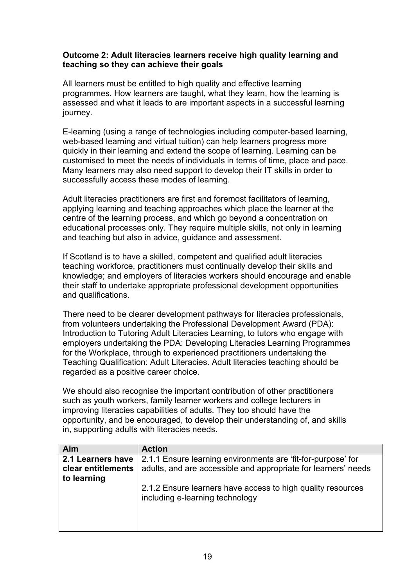# **Outcome 2: Adult literacies learners receive high quality learning and teaching so they can achieve their goals**

All learners must be entitled to high quality and effective learning programmes. How learners are taught, what they learn, how the learning is assessed and what it leads to are important aspects in a successful learning journey.

E-learning (using a range of technologies including computer-based learning, web-based learning and virtual tuition) can help learners progress more quickly in their learning and extend the scope of learning. Learning can be customised to meet the needs of individuals in terms of time, place and pace. Many learners may also need support to develop their IT skills in order to successfully access these modes of learning.

Adult literacies practitioners are first and foremost facilitators of learning, applying learning and teaching approaches which place the learner at the centre of the learning process, and which go beyond a concentration on educational processes only. They require multiple skills, not only in learning and teaching but also in advice, guidance and assessment.

If Scotland is to have a skilled, competent and qualified adult literacies teaching workforce, practitioners must continually develop their skills and knowledge; and employers of literacies workers should encourage and enable their staff to undertake appropriate professional development opportunities and qualifications.

There need to be clearer development pathways for literacies professionals, from volunteers undertaking the Professional Development Award (PDA): Introduction to Tutoring Adult Literacies Learning, to tutors who engage with employers undertaking the PDA: Developing Literacies Learning Programmes for the Workplace, through to experienced practitioners undertaking the Teaching Qualification: Adult Literacies. Adult literacies teaching should be regarded as a positive career choice.

We should also recognise the important contribution of other practitioners such as youth workers, family learner workers and college lecturers in improving literacies capabilities of adults. They too should have the opportunity, and be encouraged, to develop their understanding of, and skills in, supporting adults with literacies needs.

| Aim                | <b>Action</b>                                                                                  |
|--------------------|------------------------------------------------------------------------------------------------|
| 2.1 Learners have  | 2.1.1 Ensure learning environments are 'fit-for-purpose' for                                   |
| clear entitlements | adults, and are accessible and appropriate for learners' needs                                 |
| to learning        |                                                                                                |
|                    | 2.1.2 Ensure learners have access to high quality resources<br>including e-learning technology |
|                    |                                                                                                |
|                    |                                                                                                |
|                    |                                                                                                |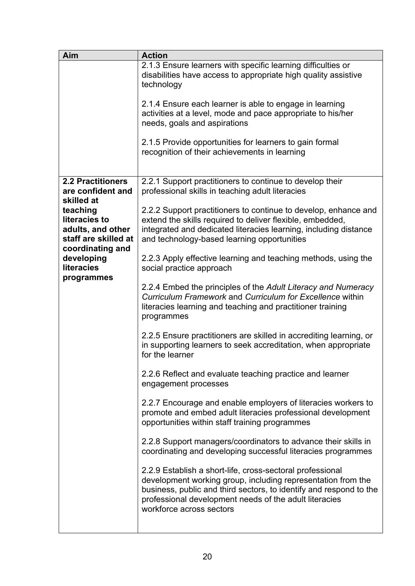| Aim                                                                                        | <b>Action</b>                                                                                                                                                                                                                                                                         |
|--------------------------------------------------------------------------------------------|---------------------------------------------------------------------------------------------------------------------------------------------------------------------------------------------------------------------------------------------------------------------------------------|
|                                                                                            | 2.1.3 Ensure learners with specific learning difficulties or<br>disabilities have access to appropriate high quality assistive<br>technology                                                                                                                                          |
|                                                                                            | 2.1.4 Ensure each learner is able to engage in learning<br>activities at a level, mode and pace appropriate to his/her<br>needs, goals and aspirations                                                                                                                                |
|                                                                                            | 2.1.5 Provide opportunities for learners to gain formal<br>recognition of their achievements in learning                                                                                                                                                                              |
| <b>2.2 Practitioners</b><br>are confident and<br>skilled at                                | 2.2.1 Support practitioners to continue to develop their<br>professional skills in teaching adult literacies                                                                                                                                                                          |
| teaching<br>literacies to<br>adults, and other<br>staff are skilled at<br>coordinating and | 2.2.2 Support practitioners to continue to develop, enhance and<br>extend the skills required to deliver flexible, embedded,<br>integrated and dedicated literacies learning, including distance<br>and technology-based learning opportunities                                       |
| developing<br><b>literacies</b><br>programmes                                              | 2.2.3 Apply effective learning and teaching methods, using the<br>social practice approach                                                                                                                                                                                            |
|                                                                                            | 2.2.4 Embed the principles of the Adult Literacy and Numeracy<br>Curriculum Framework and Curriculum for Excellence within<br>literacies learning and teaching and practitioner training<br>programmes                                                                                |
|                                                                                            | 2.2.5 Ensure practitioners are skilled in accrediting learning, or<br>in supporting learners to seek accreditation, when appropriate<br>for the learner                                                                                                                               |
|                                                                                            | 2.2.6 Reflect and evaluate teaching practice and learner<br>engagement processes                                                                                                                                                                                                      |
|                                                                                            | 2.2.7 Encourage and enable employers of literacies workers to<br>promote and embed adult literacies professional development<br>opportunities within staff training programmes                                                                                                        |
|                                                                                            | 2.2.8 Support managers/coordinators to advance their skills in<br>coordinating and developing successful literacies programmes                                                                                                                                                        |
|                                                                                            | 2.2.9 Establish a short-life, cross-sectoral professional<br>development working group, including representation from the<br>business, public and third sectors, to identify and respond to the<br>professional development needs of the adult literacies<br>workforce across sectors |
|                                                                                            |                                                                                                                                                                                                                                                                                       |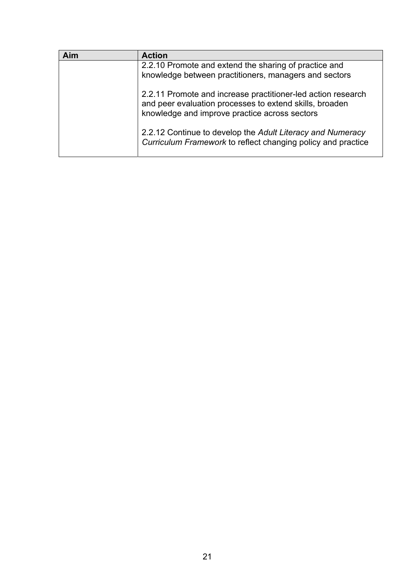| Aim | <b>Action</b>                                                                                                                                                            |
|-----|--------------------------------------------------------------------------------------------------------------------------------------------------------------------------|
|     | 2.2.10 Promote and extend the sharing of practice and<br>knowledge between practitioners, managers and sectors                                                           |
|     | 2.2.11 Promote and increase practitioner-led action research<br>and peer evaluation processes to extend skills, broaden<br>knowledge and improve practice across sectors |
|     | 2.2.12 Continue to develop the Adult Literacy and Numeracy<br>Curriculum Framework to reflect changing policy and practice                                               |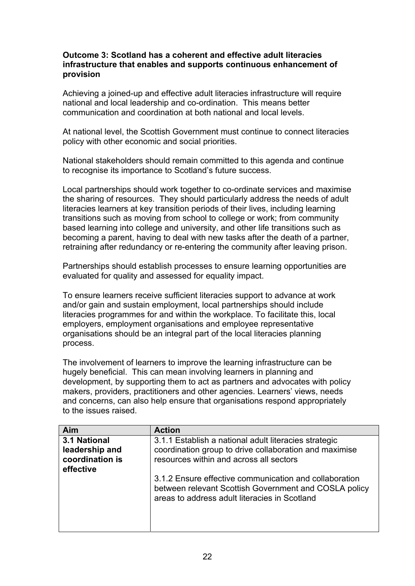# **Outcome 3: Scotland has a coherent and effective adult literacies infrastructure that enables and supports continuous enhancement of provision**

Achieving a joined-up and effective adult literacies infrastructure will require national and local leadership and co-ordination. This means better communication and coordination at both national and local levels.

At national level, the Scottish Government must continue to connect literacies policy with other economic and social priorities.

National stakeholders should remain committed to this agenda and continue to recognise its importance to Scotland's future success.

Local partnerships should work together to co-ordinate services and maximise the sharing of resources. They should particularly address the needs of adult literacies learners at key transition periods of their lives, including learning transitions such as moving from school to college or work; from community based learning into college and university, and other life transitions such as becoming a parent, having to deal with new tasks after the death of a partner, retraining after redundancy or re-entering the community after leaving prison.

Partnerships should establish processes to ensure learning opportunities are evaluated for quality and assessed for equality impact.

To ensure learners receive sufficient literacies support to advance at work and/or gain and sustain employment, local partnerships should include literacies programmes for and within the workplace. To facilitate this, local employers, employment organisations and employee representative organisations should be an integral part of the local literacies planning process.

The involvement of learners to improve the learning infrastructure can be hugely beneficial. This can mean involving learners in planning and development, by supporting them to act as partners and advocates with policy makers, providers, practitioners and other agencies. Learners' views, needs and concerns, can also help ensure that organisations respond appropriately to the issues raised.

| Aim             | <b>Action</b>                                                                                                                                                    |
|-----------------|------------------------------------------------------------------------------------------------------------------------------------------------------------------|
| 3.1 National    | 3.1.1 Establish a national adult literacies strategic                                                                                                            |
| leadership and  | coordination group to drive collaboration and maximise                                                                                                           |
| coordination is | resources within and across all sectors                                                                                                                          |
| effective       |                                                                                                                                                                  |
|                 | 3.1.2 Ensure effective communication and collaboration<br>between relevant Scottish Government and COSLA policy<br>areas to address adult literacies in Scotland |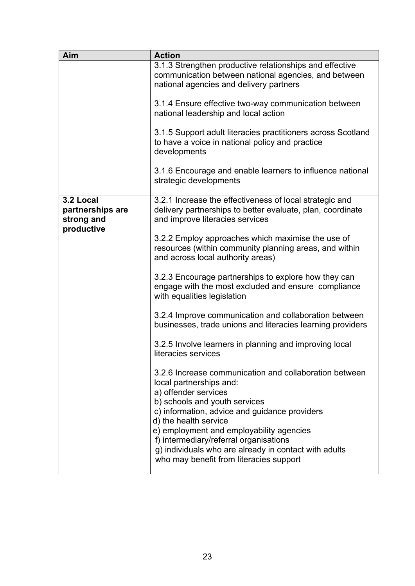| Aim                                                       | <b>Action</b>                                                                                                                                              |
|-----------------------------------------------------------|------------------------------------------------------------------------------------------------------------------------------------------------------------|
|                                                           | 3.1.3 Strengthen productive relationships and effective<br>communication between national agencies, and between<br>national agencies and delivery partners |
|                                                           | 3.1.4 Ensure effective two-way communication between<br>national leadership and local action                                                               |
|                                                           | 3.1.5 Support adult literacies practitioners across Scotland<br>to have a voice in national policy and practice<br>developments                            |
|                                                           | 3.1.6 Encourage and enable learners to influence national<br>strategic developments                                                                        |
| 3.2 Local<br>partnerships are<br>strong and<br>productive | 3.2.1 Increase the effectiveness of local strategic and<br>delivery partnerships to better evaluate, plan, coordinate<br>and improve literacies services   |
|                                                           | 3.2.2 Employ approaches which maximise the use of<br>resources (within community planning areas, and within<br>and across local authority areas)           |
|                                                           | 3.2.3 Encourage partnerships to explore how they can<br>engage with the most excluded and ensure compliance<br>with equalities legislation                 |
|                                                           | 3.2.4 Improve communication and collaboration between<br>businesses, trade unions and literacies learning providers                                        |
|                                                           | 3.2.5 Involve learners in planning and improving local<br>literacies services                                                                              |
|                                                           | 3.2.6 Increase communication and collaboration between<br>local partnerships and:<br>a) offender services                                                  |
|                                                           | b) schools and youth services<br>c) information, advice and guidance providers<br>d) the health service<br>e) employment and employability agencies        |
|                                                           | f) intermediary/referral organisations<br>g) individuals who are already in contact with adults<br>who may benefit from literacies support                 |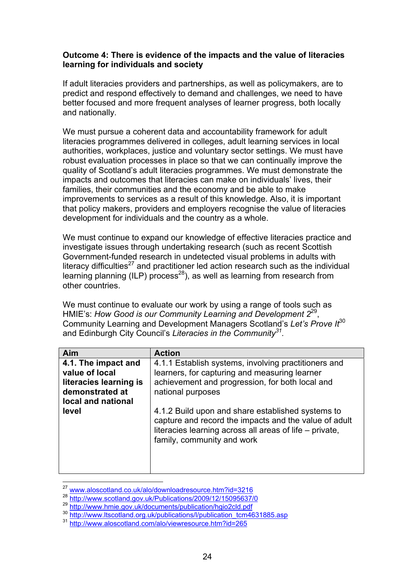## **Outcome 4: There is evidence of the impacts and the value of literacies learning for individuals and society**

If adult literacies providers and partnerships, as well as policymakers, are to predict and respond effectively to demand and challenges, we need to have better focused and more frequent analyses of learner progress, both locally and nationally.

We must pursue a coherent data and accountability framework for adult literacies programmes delivered in colleges, adult learning services in local authorities, workplaces, justice and voluntary sector settings. We must have robust evaluation processes in place so that we can continually improve the quality of Scotland's adult literacies programmes. We must demonstrate the impacts and outcomes that literacies can make on individuals' lives, their families, their communities and the economy and be able to make improvements to services as a result of this knowledge. Also, it is important that policy makers, providers and employers recognise the value of literacies development for individuals and the country as a whole.

We must continue to expand our knowledge of effective literacies practice and investigate issues through undertaking research (such as recent Scottish Government-funded research in undetected visual problems in adults with literacy difficulties $27$  and practitioner led action research such as the individual learning planning (ILP) process<sup>28</sup>), as well as learning from research from other countries.

We must continue to evaluate our work by using a range of tools such as HMIE's: *How Good is our Community Learning and Development 2*29, Community Learning and Development Managers Scotland's *Let's Prove It*30 and Edinburgh City Council's *Literacies in the Community31.* 

| Aim                                                                                                      | <b>Action</b>                                                                                                                                                                                       |
|----------------------------------------------------------------------------------------------------------|-----------------------------------------------------------------------------------------------------------------------------------------------------------------------------------------------------|
| 4.1. The impact and<br>value of local<br>literacies learning is<br>demonstrated at<br>local and national | 4.1.1 Establish systems, involving practitioners and<br>learners, for capturing and measuring learner<br>achievement and progression, for both local and<br>national purposes                       |
| level                                                                                                    | 4.1.2 Build upon and share established systems to<br>capture and record the impacts and the value of adult<br>literacies learning across all areas of life – private,<br>family, community and work |

<sup>&</sup>lt;sup>27</sup> www.aloscotland.co.uk/alo/downloadresource.htm?id=3216

<sup>28</sup> http://www.scotland.gov.uk/Publications/2009/12/15095637/0

<sup>29</sup> http://www.hmie.gov.uk/documents/publication/hgio2cld.pdf

<sup>30</sup> http://www.ltscotland.org.uk/publications/<u>l/publication\_tcm4631885.asp</u>

<sup>31</sup> http://www.aloscotland.com/alo/viewresource.htm?id=265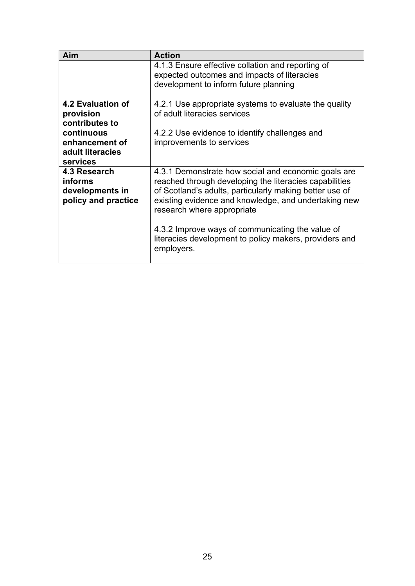| Aim                                                                      | <b>Action</b>                                                                                                                                                                                                                                                  |
|--------------------------------------------------------------------------|----------------------------------------------------------------------------------------------------------------------------------------------------------------------------------------------------------------------------------------------------------------|
|                                                                          | 4.1.3 Ensure effective collation and reporting of<br>expected outcomes and impacts of literacies<br>development to inform future planning                                                                                                                      |
| <b>4.2 Evaluation of</b><br>provision<br>contributes to                  | 4.2.1 Use appropriate systems to evaluate the quality<br>of adult literacies services                                                                                                                                                                          |
| continuous<br>enhancement of<br>adult literacies<br>services             | 4.2.2 Use evidence to identify challenges and<br>improvements to services                                                                                                                                                                                      |
| 4.3 Research<br><b>informs</b><br>developments in<br>policy and practice | 4.3.1 Demonstrate how social and economic goals are<br>reached through developing the literacies capabilities<br>of Scotland's adults, particularly making better use of<br>existing evidence and knowledge, and undertaking new<br>research where appropriate |
|                                                                          | 4.3.2 Improve ways of communicating the value of<br>literacies development to policy makers, providers and<br>employers.                                                                                                                                       |